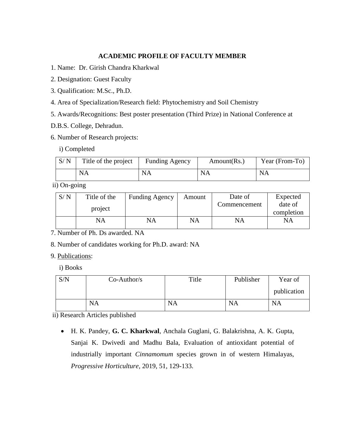## **ACADEMIC PROFILE OF FACULTY MEMBER**

- 1. Name: Dr. Girish Chandra Kharkwal
- 2. Designation: Guest Faculty
- 3. Qualification: M.Sc., Ph.D.
- 4. Area of Specialization/Research field: Phytochemistry and Soil Chemistry
- 5. Awards/Recognitions: Best poster presentation (Third Prize) in National Conference at
- D.B.S. College, Dehradun.
- 6. Number of Research projects:

i) Completed

| S/N | Title of the project | <b>Funding Agency</b> | Amount(Rs., | Year (From-To) |
|-----|----------------------|-----------------------|-------------|----------------|
|     | <b>NA</b>            | NA                    | NA          | <b>NA</b>      |

ii) On-going

| S/N | Title of the | <b>Funding Agency</b> | Amount | Date of      | Expected              |
|-----|--------------|-----------------------|--------|--------------|-----------------------|
|     | project      |                       |        | Commencement | date of<br>completion |
|     | NA           | NA                    | NA     | NA           | NΑ                    |

7. Number of Ph. Ds awarded. NA

8. Number of candidates working for Ph.D. award: NA

9. Publications:

i) Books

| S/N | $Co-Author/s$ | Title     | Publisher | Year of     |
|-----|---------------|-----------|-----------|-------------|
|     |               |           |           | publication |
|     | <b>NA</b>     | <b>NA</b> | <b>NA</b> | NA          |

ii) Research Articles published

 H. K. Pandey, **G. C. Kharkwal**, Anchala Guglani, G. Balakrishna, A. K. Gupta, Sanjai K. Dwivedi and Madhu Bala, Evaluation of antioxidant potential of industrially important *Cinnamomum* species grown in of western Himalayas, *Progressive Horticulture,* 2019, 51, 129-133.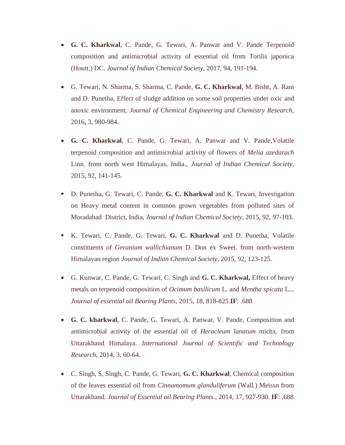- **G. C. Kharkwal**, C. Pande, G. Tewari, A. Panwar and V. Pande Terpenoid composition and antimicrobial activity of essential oil from Torilis japonica (Houtt.) DC. *Journal of Indian Chemical Society*, 2017, 94, 191-194.
- G. Tewari, N. Sharma, S. Sharma, C. Pande, **G. C. Kharkwal**, M. Bisht, A. Rani and D. Punetha, Effect of sludge addition on some soil properties under oxic and anoxic environment, *Journal of Chemical Engineering and Chemistry Research,* 2016, 3, 980-984.
- **G. C. Kharkwal**, C. Pande, G. Tewari, A. Panwar and V. Pande,Volatile terpenoid composition and antimicrobial activity of flowers of *Melia azedarach*  Linn. from north west Himalayas, India., *Journal of Indian Chemical Society*, 2015, 92, 141-145.
- D. Punetha, G. Tewari, C. Pande, **G. C. Kharkwal** and K. Tewari, Investigation on Heavy metal content in common grown vegetables from polluted sites of Moradabad District, India, *Journal of Indian Chemical Society*, 2015, 92, 97-103.
- K. Tewari, C. Pande, G. Tewari, **G. C. Kharkwal** and D. Punetha, Volatile constituents of *Geranium wallichianum* D. Don ex Sweet. from north-western Himalayan region *Journal of Indian Chemical Society*, 2015, 92, 123-125.
- G. Kunwar, C. Pande, G. Tewari, C. Singh and **G. C. Kharkwal,** Effect of heavy metals on terpenoid composition of *Ocimum basilicum* L. and *Mentha spicata* L... *Journal of essential oil Bearing Plants,* 2015, 18, 818-825.**IF**: .688
- **G. C. kharkwal**, C. Pande, G. Tewari, A. Panwar, V. Pande, Composition and antimicrobial activity of the essential oil of *Heracleum lanatum* michx. from Uttarakhand Himalaya. *International Journal of Scientific and Technology Research*, 2014, 3, 60-64.
- C. Singh, S, Singh, C. Pande, G. Tewari, **G. C. Kharkwal**, Chemical composition of the leaves essential oil from *Cinnamomum glanduliferum* (Wall.) Meissn from Uttarakhand. *Journal of Essential oil Bearing Plants*., 2014, 17, 927-930. **IF**: .688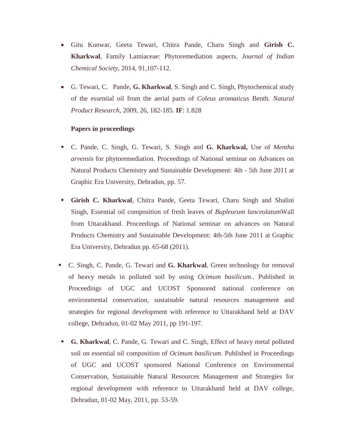- Gitu Kunwar, Geeta Tewari, Chitra Pande, Charu Singh and **Girish C. Kharkwal**, Family Lamiaceae: Phytoremediation aspects. *Journal of Indian Chemical Society*, 2014, 91,107-112.
- G. Tewari, C. Pande, **G. Kharkwal**, S. Singh and C. Singh, Phytochemical study of the essential oil from the aerial parts of *Coleus aromaticus* Benth. *Natural Product Research*, 2009, 26, 182-185. **IF**: 1.828

## **Papers in proceedings**

- C. Pande, C. Singh, G. Tewari, S. Singh and **G. Kharkwal,** Use of *Mentha arvensis* for phytoremediation. Proceedings of National seminar on Advances on Natural Products Chemistry and Sustainable Development: 4th - 5th June 2011 at Graphic Era University, Dehradun, pp. 57.
- **Girish C. Kharkwal**, Chitra Pande, Geeta Tewari, Charu Singh and Shalini Singh, Essential oil composition of fresh leaves of *Bupleurum lanceolatum*Wall from Uttarakhand. Proceedings of National seminar on advances on Natural Products Chemistry and Sustainable Development: 4th-5th June 2011 at Graphic Era University, Dehradun pp. 65-68 (2011).
- C. Singh, C. Pande, G. Tewari and **G. Kharkwal**, Green technology for removal of heavy metals in polluted soil by using *Ocimum basilicum*.. Published in Proceedings of UGC and UCOST Sponsored national conference on environmental conservation, sustainable natural resources management and strategies for regional development with reference to Uttarakhand held at DAV college, Dehradun, 01-02 May 2011, pp 191-197.
- **G. Kharkwal**, C. Pande, G. Tewari and C. Singh, Effect of heavy metal polluted soil on essential oil composition of *Ocimum basilicum*. Published in Proceedings of UGC and UCOST sponsored National Conference on Environmental Conservation, Sustainable Natural Resources Management and Strategies for regional development with reference to Uttarakhand held at DAV college, Dehradun, 01-02 May, 2011, pp. 53-59.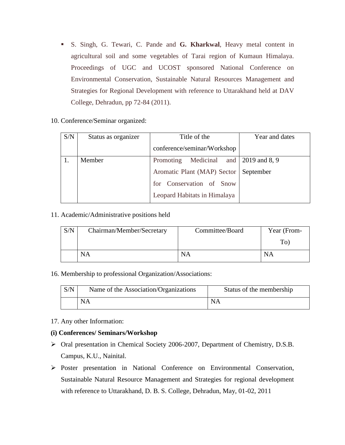- S. Singh, G. Tewari, C. Pande and **G. Kharkwal**, Heavy metal content in agricultural soil and some vegetables of Tarai region of Kumaun Himalaya. Proceedings of UGC and UCOST sponsored National Conference on Environmental Conservation, Sustainable Natural Resources Management and Strategies for Regional Development with reference to Uttarakhand held at DAV College, Dehradun, pp 72-84 (2011).
- 10. Conference/Seminar organized:

| S/N | Status as organizer | Title of the                            | Year and dates |
|-----|---------------------|-----------------------------------------|----------------|
|     |                     | conference/seminar/Workshop             |                |
|     | Member              | Promoting Medicinal and 2019 and 8, 9   |                |
|     |                     | Aromatic Plant (MAP) Sector   September |                |
|     |                     | for Conservation of Snow                |                |
|     |                     | Leopard Habitats in Himalaya            |                |

11. Academic/Administrative positions held

| S/N | Chairman/Member/Secretary | Committee/Board | Year (From- |
|-----|---------------------------|-----------------|-------------|
|     |                           |                 | To)         |
|     | NA                        | NA              | NΑ          |

16. Membership to professional Organization/Associations:

| S/N | Name of the Association/Organizations | Status of the membership |
|-----|---------------------------------------|--------------------------|
|     | <b>NA</b>                             | <b>NA</b>                |

17. Any other Information:

## **(i) Conferences/ Seminars/Workshop**

- Oral presentation in Chemical Society 2006-2007, Department of Chemistry, D.S.B. Campus, K.U., Nainital.
- Poster presentation in National Conference on Environmental Conservation, Sustainable Natural Resource Management and Strategies for regional development with reference to Uttarakhand, D. B. S. College, Dehradun, May, 01-02, 2011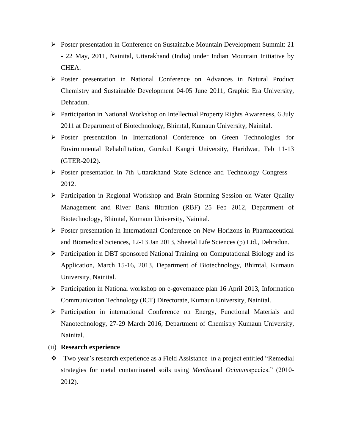- $\triangleright$  Poster presentation in Conference on Sustainable Mountain Development Summit: 21 - 22 May, 2011, Nainital, Uttarakhand (India) under Indian Mountain Initiative by CHEA.
- Poster presentation in National Conference on Advances in Natural Product Chemistry and Sustainable Development 04-05 June 2011, Graphic Era University, Dehradun.
- Participation in National Workshop on Intellectual Property Rights Awareness, 6 July 2011 at Department of Biotechnology, Bhimtal, Kumaun University, Nainital.
- Poster presentation in International Conference on Green Technologies for Environmental Rehabilitation, Gurukul Kangri University, Haridwar, Feb 11-13 (GTER-2012).
- $\triangleright$  Poster presentation in 7th Uttarakhand State Science and Technology Congress 2012.
- Participation in Regional Workshop and Brain Storming Session on Water Quality Management and River Bank filtration (RBF) 25 Feb 2012, Department of Biotechnology, Bhimtal, Kumaun University, Nainital.
- Poster presentation in International Conference on New Horizons in Pharmaceutical and Biomedical Sciences, 12-13 Jan 2013, Sheetal Life Sciences (p) Ltd., Dehradun.
- $\triangleright$  Participation in DBT sponsored National Training on Computational Biology and its Application, March 15-16, 2013, Department of Biotechnology, Bhimtal, Kumaun University, Nainital.
- $\triangleright$  Participation in National workshop on e-governance plan 16 April 2013, Information Communication Technology (ICT) Directorate, Kumaun University, Nainital.
- Participation in international Conference on Energy, Functional Materials and Nanotechnology, 27-29 March 2016, Department of Chemistry Kumaun University, Nainital.
- (ii) **Research experience**
- Two year's research experience as a Field Assistance in a project entitled "Remedial strategies for metal contaminated soils using *Mentha*and *Ocimum*species." (2010- 2012).